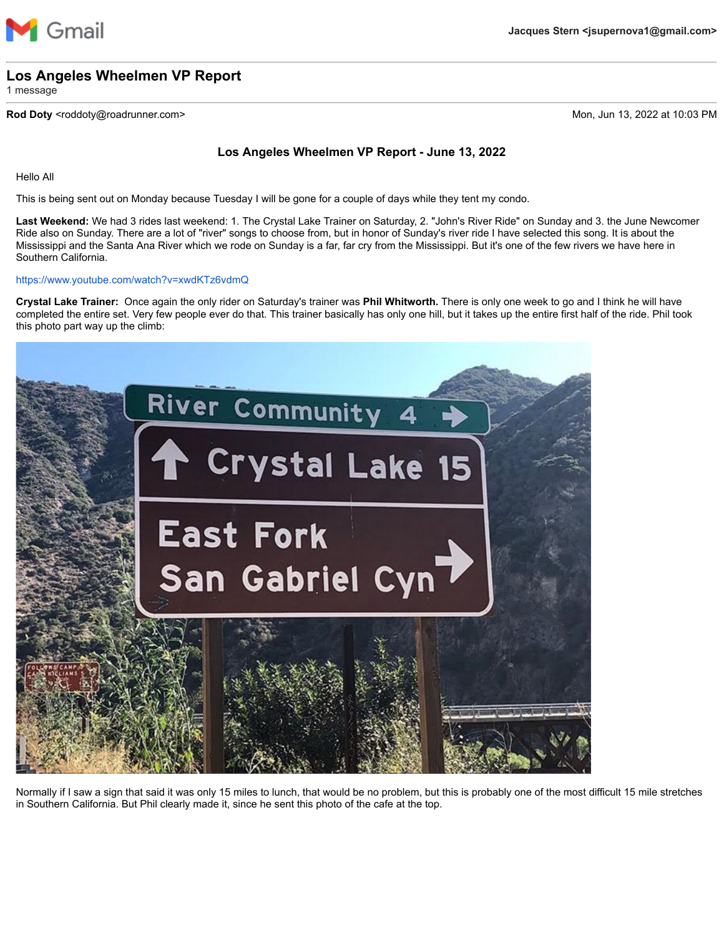

## **Los Angeles Wheelmen VP Report**

1 message

### **Rod Doty** <roddoty@roadrunner.com> Mon, Jun 13, 2022 at 10:03 PM

## **Los Angeles Wheelmen VP Report - June 13, 2022**

Hello All

This is being sent out on Monday because Tuesday I will be gone for a couple of days while they tent my condo.

**Last Weekend:** We had 3 rides last weekend: 1. The Crystal Lake Trainer on Saturday, 2. "John's River Ride" on Sunday and 3. the June Newcomer Ride also on Sunday. There are a lot of "river" songs to choose from, but in honor of Sunday's river ride I have selected this song. It is about the Mississippi and the Santa Ana River which we rode on Sunday is a far, far cry from the Mississippi. But it's one of the few rivers we have here in Southern California.

#### <https://www.youtube.com/watch?v=xwdKTz6vdmQ>

**Crystal Lake Trainer:** Once again the only rider on Saturday's trainer was **Phil Whitworth.** There is only one week to go and I think he will have completed the entire set. Very few people ever do that. This trainer basically has only one hill, but it takes up the entire first half of the ride. Phil took this photo part way up the climb:



Normally if I saw a sign that said it was only 15 miles to lunch, that would be no problem, but this is probably one of the most difficult 15 mile stretches in Southern California. But Phil clearly made it, since he sent this photo of the cafe at the top.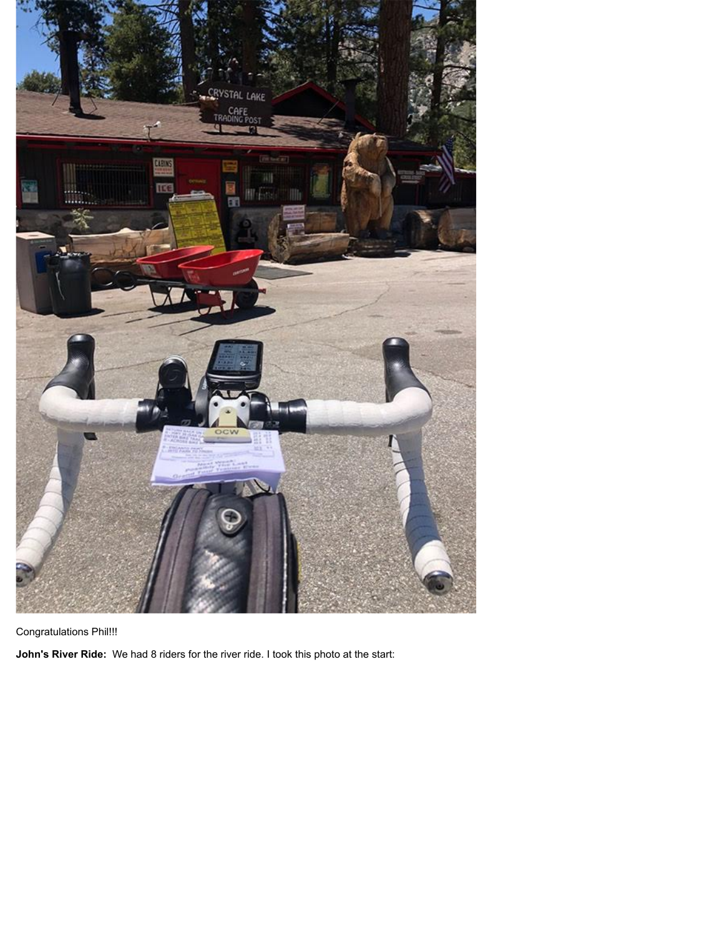

Congratulations Phil!!!

**John's River Ride:** We had 8 riders for the river ride. I took this photo at the start: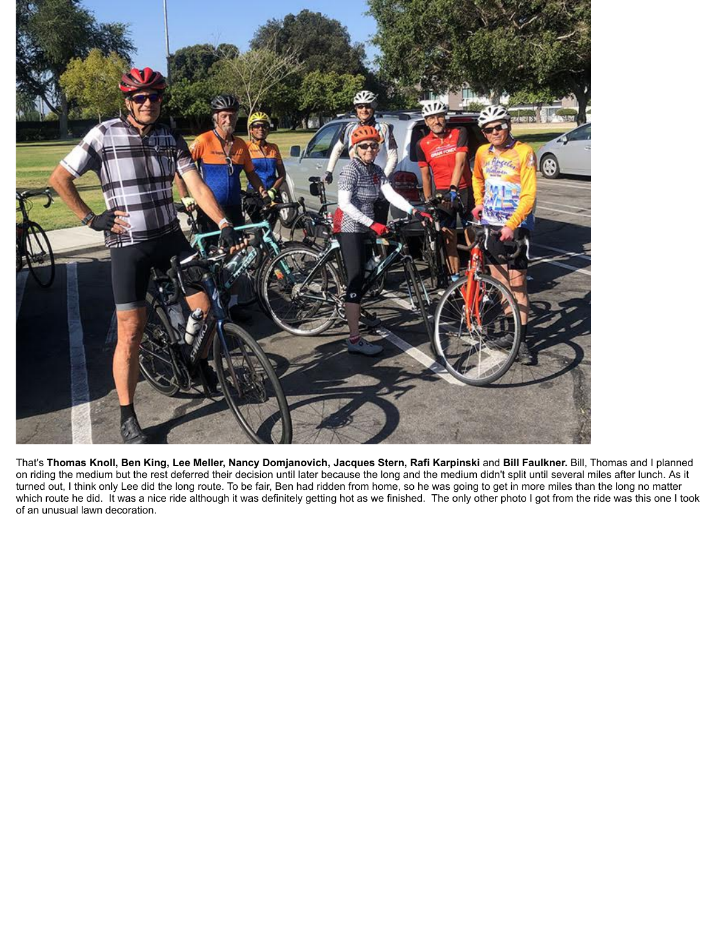

That's **Thomas Knoll, Ben King, Lee Meller, Nancy Domjanovich, Jacques Stern, Rafi Karpinski** and **Bill Faulkner.** Bill, Thomas and I planned on riding the medium but the rest deferred their decision until later because the long and the medium didn't split until several miles after lunch. As it turned out, I think only Lee did the long route. To be fair, Ben had ridden from home, so he was going to get in more miles than the long no matter which route he did. It was a nice ride although it was definitely getting hot as we finished. The only other photo I got from the ride was this one I took of an unusual lawn decoration.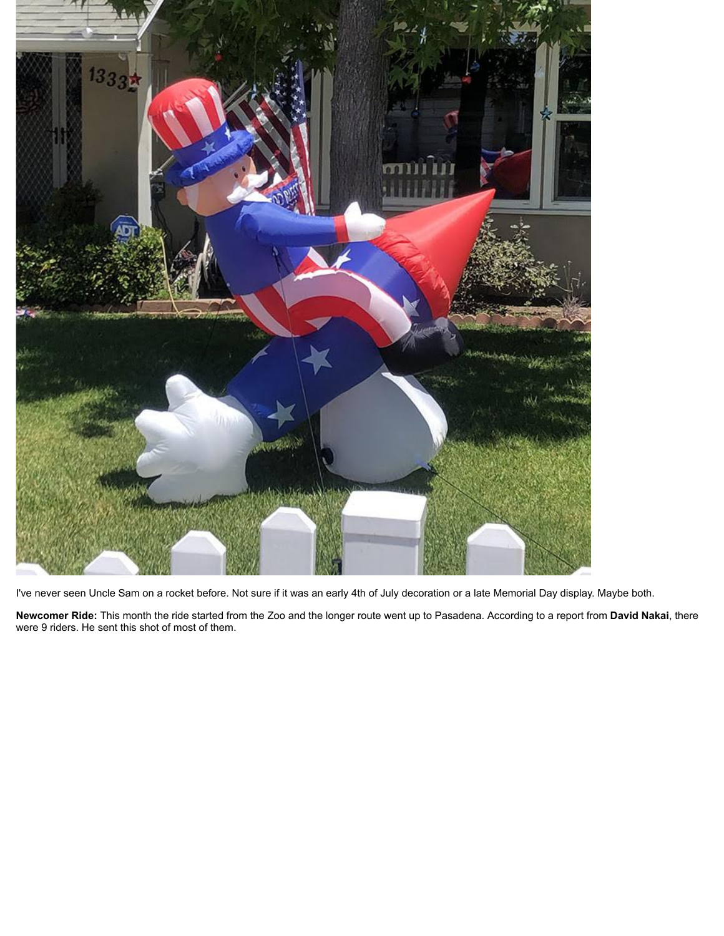

I've never seen Uncle Sam on a rocket before. Not sure if it was an early 4th of July decoration or a late Memorial Day display. Maybe both.

**Newcomer Ride:** This month the ride started from the Zoo and the longer route went up to Pasadena. According to a report from **David Nakai**, there were 9 riders. He sent this shot of most of them.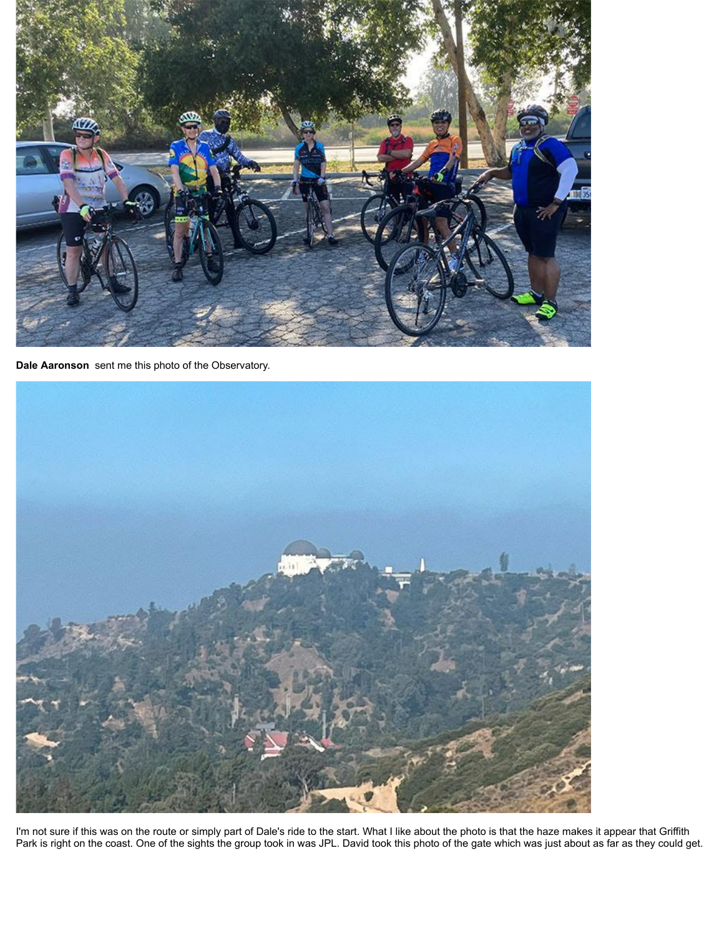

**Dale Aaronson** sent me this photo of the Observatory.



I'm not sure if this was on the route or simply part of Dale's ride to the start. What I like about the photo is that the haze makes it appear that Griffith Park is right on the coast. One of the sights the group took in was JPL. David took this photo of the gate which was just about as far as they could get.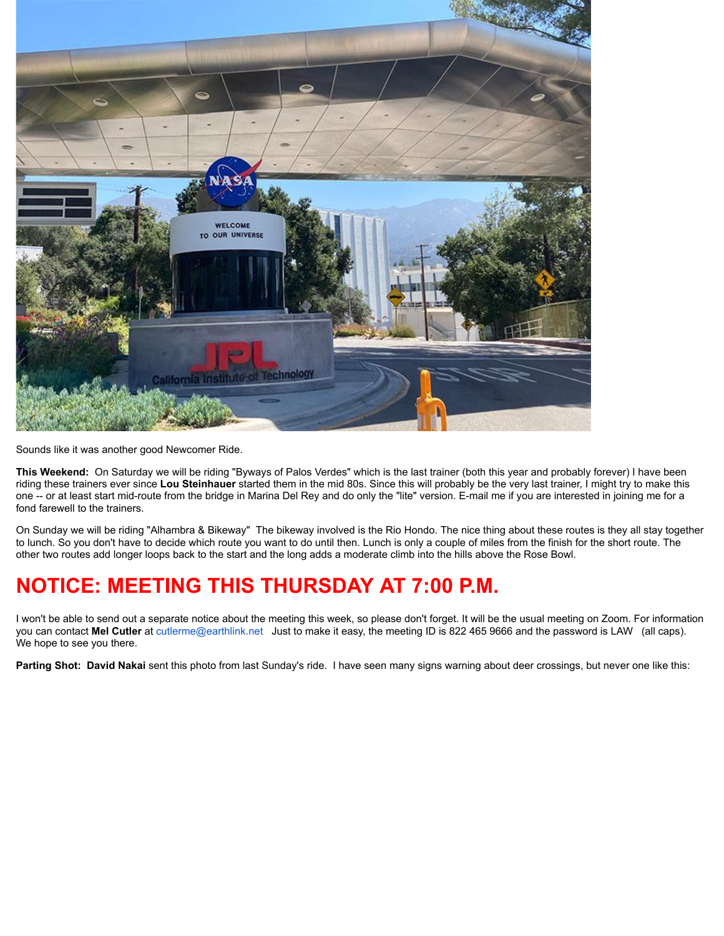

Sounds like it was another good Newcomer Ride.

**This Weekend:** On Saturday we will be riding "Byways of Palos Verdes" which is the last trainer (both this year and probably forever) I have been riding these trainers ever since **Lou Steinhauer** started them in the mid 80s. Since this will probably be the very last trainer, I might try to make this one -- or at least start mid-route from the bridge in Marina Del Rey and do only the "lite" version. E-mail me if you are interested in joining me for a fond farewell to the trainers.

On Sunday we will be riding "Alhambra & Bikeway" The bikeway involved is the Rio Hondo. The nice thing about these routes is they all stay together to lunch. So you don't have to decide which route you want to do until then. Lunch is only a couple of miles from the finish for the short route. The other two routes add longer loops back to the start and the long adds a moderate climb into the hills above the Rose Bowl.

# **NOTICE: MEETING THIS THURSDAY AT 7:00 P.M.**

I won't be able to send out a separate notice about the meeting this week, so please don't forget. It will be the usual meeting on Zoom. For information you can contact **Mel Cutler** at [cutlerme@earthlink.net](mailto:cutlerme@earthlink.net) Just to make it easy, the meeting ID is 822 465 9666 and the password is LAW (all caps). We hope to see you there.

**Parting Shot: David Nakai** sent this photo from last Sunday's ride. I have seen many signs warning about deer crossings, but never one like this: